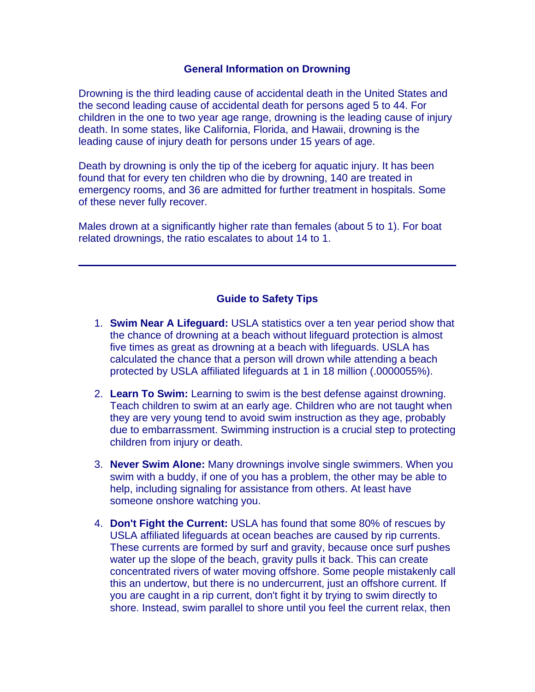#### **General Information on Drowning**

Drowning is the third leading cause of accidental death in the United States and the second leading cause of accidental death for persons aged 5 to 44. For children in the one to two year age range, drowning is the leading cause of injury death. In some states, like California, Florida, and Hawaii, drowning is the leading cause of injury death for persons under 15 years of age.

Death by drowning is only the tip of the iceberg for aquatic injury. It has been found that for every ten children who die by drowning, 140 are treated in emergency rooms, and 36 are admitted for further treatment in hospitals. Some of these never fully recover.

Males drown at a significantly higher rate than females (about 5 to 1). For boat related drownings, the ratio escalates to about 14 to 1.

### **Guide to Safety Tips**

- 1. **Swim Near A Lifeguard:** USLA statistics over a ten year period show that the chance of drowning at a beach without lifeguard protection is almost five times as great as drowning at a beach with lifeguards. USLA has calculated the chance that a person will drown while attending a beach protected by USLA affiliated lifeguards at 1 in 18 million (.0000055%).
- 2. **Learn To Swim:** Learning to swim is the best defense against drowning. Teach children to swim at an early age. Children who are not taught when they are very young tend to avoid swim instruction as they age, probably due to embarrassment. Swimming instruction is a crucial step to protecting children from injury or death.
- 3. **Never Swim Alone:** Many drownings involve single swimmers. When you swim with a buddy, if one of you has a problem, the other may be able to help, including signaling for assistance from others. At least have someone onshore watching you.
- 4. **Don't Fight the Current:** USLA has found that some 80% of rescues by USLA affiliated lifeguards at ocean beaches are caused by rip currents. These currents are formed by surf and gravity, because once surf pushes water up the slope of the beach, gravity pulls it back. This can create concentrated rivers of water moving offshore. Some people mistakenly call this an undertow, but there is no undercurrent, just an offshore current. If you are caught in a rip current, don't fight it by trying to swim directly to shore. Instead, swim parallel to shore until you feel the current relax, then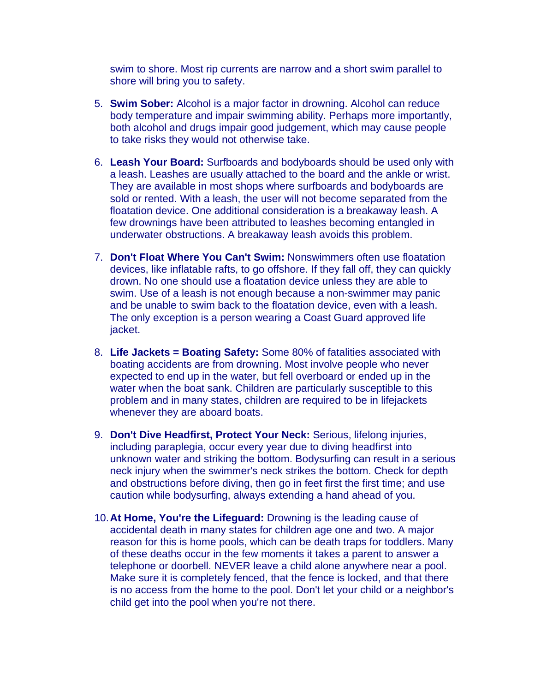swim to shore. Most rip currents are narrow and a short swim parallel to shore will bring you to safety.

- 5. **Swim Sober:** Alcohol is a major factor in drowning. Alcohol can reduce body temperature and impair swimming ability. Perhaps more importantly, both alcohol and drugs impair good judgement, which may cause people to take risks they would not otherwise take.
- 6. **Leash Your Board:** Surfboards and bodyboards should be used only with a leash. Leashes are usually attached to the board and the ankle or wrist. They are available in most shops where surfboards and bodyboards are sold or rented. With a leash, the user will not become separated from the floatation device. One additional consideration is a breakaway leash. A few drownings have been attributed to leashes becoming entangled in underwater obstructions. A breakaway leash avoids this problem.
- 7. **Don't Float Where You Can't Swim:** Nonswimmers often use floatation devices, like inflatable rafts, to go offshore. If they fall off, they can quickly drown. No one should use a floatation device unless they are able to swim. Use of a leash is not enough because a non-swimmer may panic and be unable to swim back to the floatation device, even with a leash. The only exception is a person wearing a Coast Guard approved life jacket.
- 8. **Life Jackets = Boating Safety:** Some 80% of fatalities associated with boating accidents are from drowning. Most involve people who never expected to end up in the water, but fell overboard or ended up in the water when the boat sank. Children are particularly susceptible to this problem and in many states, children are required to be in lifejackets whenever they are aboard boats.
- 9. **Don't Dive Headfirst, Protect Your Neck:** Serious, lifelong injuries, including paraplegia, occur every year due to diving headfirst into unknown water and striking the bottom. Bodysurfing can result in a serious neck injury when the swimmer's neck strikes the bottom. Check for depth and obstructions before diving, then go in feet first the first time; and use caution while bodysurfing, always extending a hand ahead of you.
- 10. **At Home, You're the Lifeguard:** Drowning is the leading cause of accidental death in many states for children age one and two. A major reason for this is home pools, which can be death traps for toddlers. Many of these deaths occur in the few moments it takes a parent to answer a telephone or doorbell. NEVER leave a child alone anywhere near a pool. Make sure it is completely fenced, that the fence is locked, and that there is no access from the home to the pool. Don't let your child or a neighbor's child get into the pool when you're not there.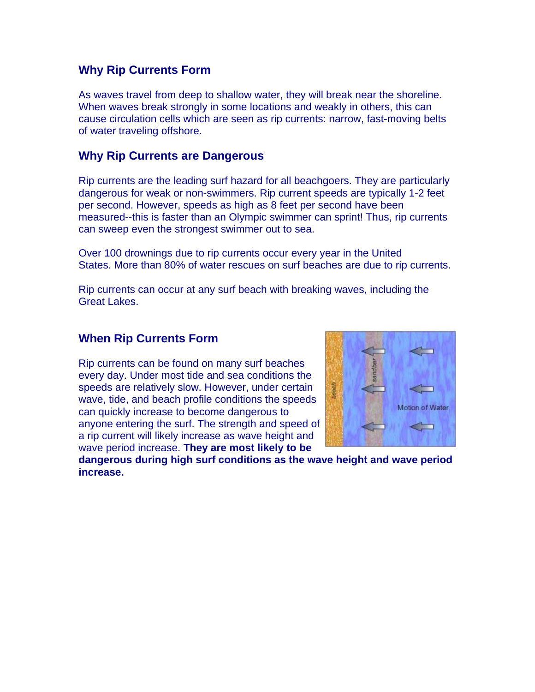## **Why Rip Currents Form**

As waves travel from deep to shallow water, they will break near the shoreline. When waves break strongly in some locations and weakly in others, this can cause circulation cells which are seen as rip currents: narrow, fast-moving belts of water traveling offshore.

### **Why Rip Currents are Dangerous**

Rip currents are the leading surf hazard for all beachgoers. They are particularly dangerous for weak or non-swimmers. Rip current speeds are typically 1-2 feet per second. However, speeds as high as 8 feet per second have been measured--this is faster than an Olympic swimmer can sprint! Thus, rip currents can sweep even the strongest swimmer out to sea.

Over 100 drownings due to rip currents occur every year in the United States. More than 80% of water rescues on surf beaches are due to rip currents.

Rip currents can occur at any surf beach with breaking waves, including the Great Lakes.

### **When Rip Currents Form**

Rip currents can be found on many surf beaches every day. Under most tide and sea conditions the speeds are relatively slow. However, under certain wave, tide, and beach profile conditions the speeds can quickly increase to become dangerous to anyone entering the surf. The strength and speed of a rip current will likely increase as wave height and wave period increase. **They are most likely to be** 



**dangerous during high surf conditions as the wave height and wave period increase.**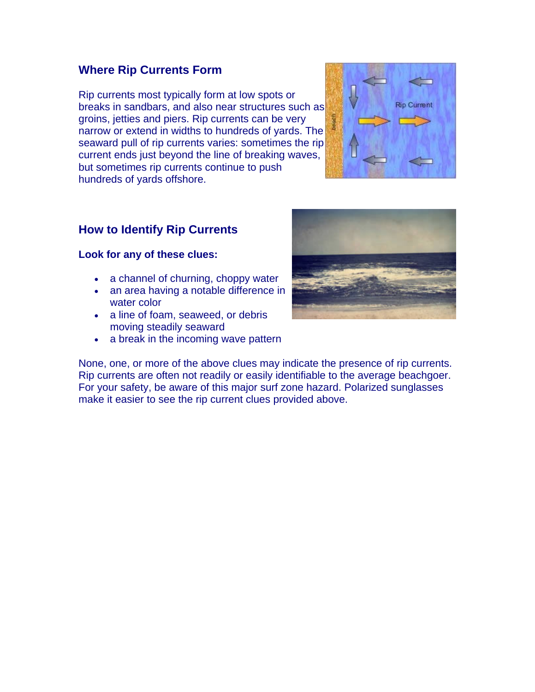## **Where Rip Currents Form**

Rip currents most typically form at low spots or breaks in sandbars, and also near structures such a s groins, jetties and piers. Rip currents can be very narrow or extend in widths to hundreds of yards. The seaward pull of rip currents varies: sometimes the rip current ends just beyond the line of breaking waves, but sometimes rip currents continue to push hundreds of yards offshore.



# **How to Identify Rip Currents**

### **Look for any of these clues:**

- a channel of churning, choppy water
- an area having a notable difference in water color
- a line of foam, seaweed, or debris moving steadily seaward
- a break in the incoming wave pattern



None, one, or more of the above clues may indicate the presence of rip currents. Rip currents are often not readily or easily identifiable to the average beachgoer. For your safety, be aware of this major surf zone hazard. Polarized sunglasses make it easier to see the rip current clues provided above.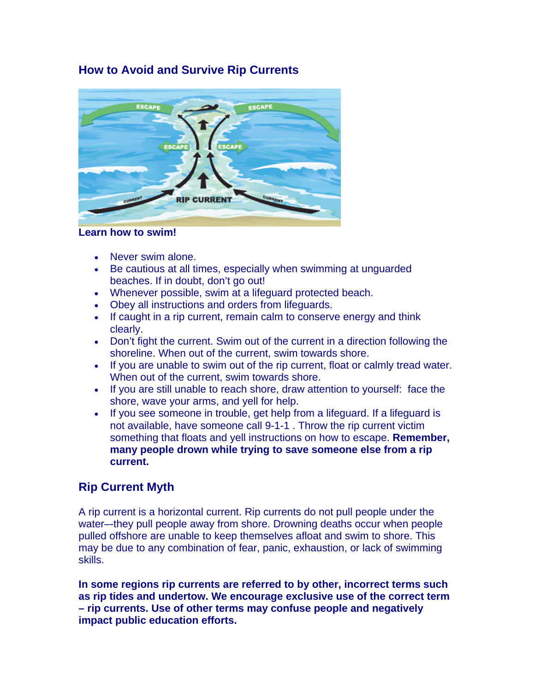# **How to Avoid and Survive Rip Currents**



### **Learn how to swim!**

- Never swim alone.
- Be cautious at all times, especially when swimming at unguarded beaches. If in doubt, don't go out!
- Whenever possible, swim at a lifeguard protected beach.
- Obey all instructions and orders from lifeguards.
- If caught in a rip current, remain calm to conserve energy and think clearly.
- Don't fight the current. Swim out of the current in a direction following the shoreline. When out of the current, swim towards shore.
- If you are unable to swim out of the rip current, float or calmly tread water. When out of the current, swim towards shore.
- If you are still unable to reach shore, draw attention to yourself: face the shore, wave your arms, and yell for help.
- If you see someone in trouble, get help from a lifeguard. If a lifeguard is not available, have someone call 9-1-1 . Throw the rip current victim something that floats and yell instructions on how to escape. **Remember, many people drown while trying to save someone else from a rip current.**

# **Rip Current Myth**

A rip current is a horizontal current. Rip currents do not pull people under the water–-they pull people away from shore. Drowning deaths occur when people pulled offshore are unable to keep themselves afloat and swim to shore. This may be due to any combination of fear, panic, exhaustion, or lack of swimming skills.

**In some regions rip currents are referred to by other, incorrect terms such as rip tides and undertow. We encourage exclusive use of the correct term – rip currents. Use of other terms may confuse people and negatively impact public education efforts.**